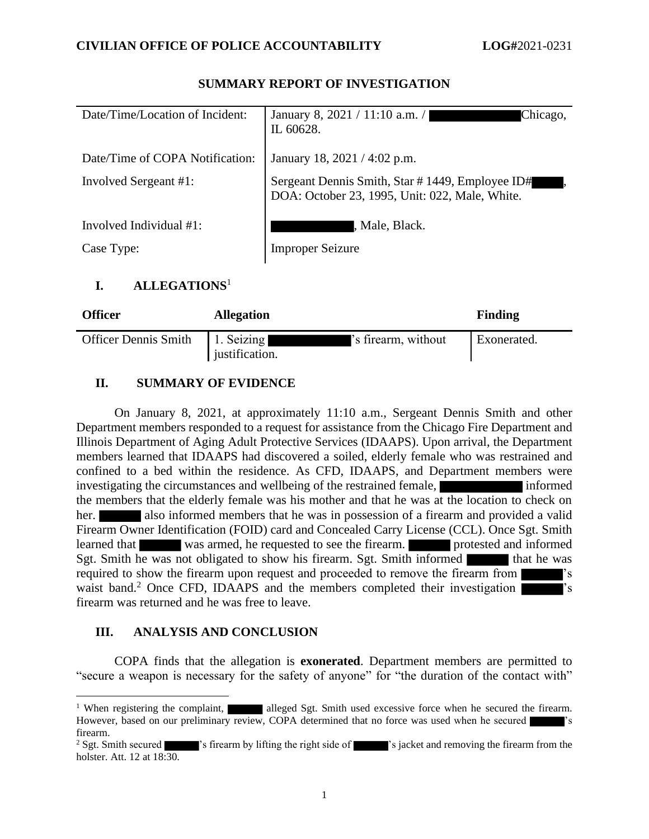| Date/Time/Location of Incident: | January 8, 2021 / 11:10 a.m. /<br>Chicago,<br>IL 60628.                                           |
|---------------------------------|---------------------------------------------------------------------------------------------------|
| Date/Time of COPA Notification: | January 18, 2021 / 4:02 p.m.                                                                      |
| Involved Sergeant #1:           | Sergeant Dennis Smith, Star #1449, Employee ID#<br>DOA: October 23, 1995, Unit: 022, Male, White. |
| Involved Individual #1:         | , Male, Black.                                                                                    |
| Case Type:                      | <b>Improper Seizure</b>                                                                           |

### **SUMMARY REPORT OF INVESTIGATION**

### **I. ALLEGATIONS**<sup>1</sup>

| <b>Officer</b>              | <b>Allegation</b>                                   | Finding     |
|-----------------------------|-----------------------------------------------------|-------------|
| <b>Officer Dennis Smith</b> | 1. Seizing<br>'s firearm, without<br>justification. | Exonerated. |

## **II. SUMMARY OF EVIDENCE**

On January 8, 2021, at approximately 11:10 a.m., Sergeant Dennis Smith and other Department members responded to a request for assistance from the Chicago Fire Department and Illinois Department of Aging Adult Protective Services (IDAAPS). Upon arrival, the Department members learned that IDAAPS had discovered a soiled, elderly female who was restrained and confined to a bed within the residence. As CFD, IDAAPS, and Department members were investigating the circumstances and wellbeing of the restrained female, informed the members that the elderly female was his mother and that he was at the location to check on her. **also informed members that he was in possession of a firearm and provided a valid** Firearm Owner Identification (FOID) card and Concealed Carry License (CCL). Once Sgt. Smith learned that was armed, he requested to see the firearm. **protested and informed** Sgt. Smith he was not obligated to show his firearm. Sgt. Smith informed that he was required to show the firearm upon request and proceeded to remove the firearm from  $\vert$ waist band.<sup>2</sup> Once CFD, IDAAPS and the members completed their investigation  $\overline{\phantom{a}}$ 's firearm was returned and he was free to leave.

### **III. ANALYSIS AND CONCLUSION**

COPA finds that the allegation is **exonerated**. Department members are permitted to "secure a weapon is necessary for the safety of anyone" for "the duration of the contact with"

<sup>&</sup>lt;sup>1</sup> When registering the complaint, alleged Sgt. Smith used excessive force when he secured the firearm. However, based on our preliminary review, COPA determined that no force was used when he secured firearm.

<sup>&</sup>lt;sup>2</sup> Sgt. Smith secured <sup>'s</sup> firearm by lifting the right side of 's jacket and removing the firearm from the holster. Att. 12 at 18:30.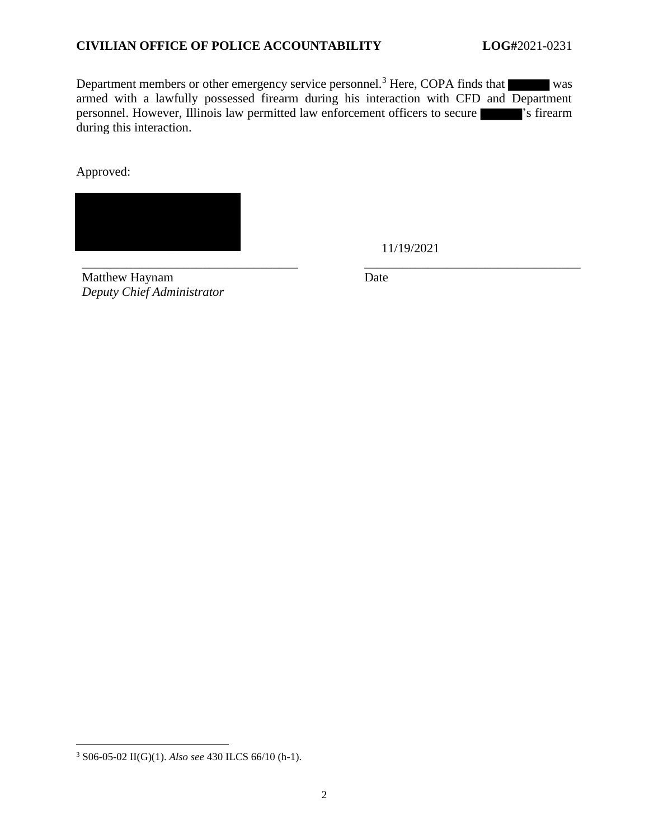#### **CIVILIAN OFFICE OF POLICE ACCOUNTABILITY LOG#**2021-0231

Department members or other emergency service personnel.<sup>3</sup> Here, COPA finds that was armed with a lawfully possessed firearm during his interaction with CFD and Department personnel. However, Illinois law permitted law enforcement officers to secure 's firearm during this interaction.

\_\_\_\_\_\_\_\_\_\_\_\_\_\_\_\_\_\_\_\_\_\_\_\_\_\_\_\_\_\_\_\_\_\_ \_\_\_\_\_\_\_\_\_\_\_\_\_\_\_\_\_\_\_\_\_\_\_\_\_\_\_\_\_\_\_\_\_\_

Approved:



11/19/2021

Matthew Haynam *Deputy Chief Administrator* Date

<sup>3</sup> S06-05-02 II(G)(1). *Also see* 430 ILCS 66/10 (h-1).